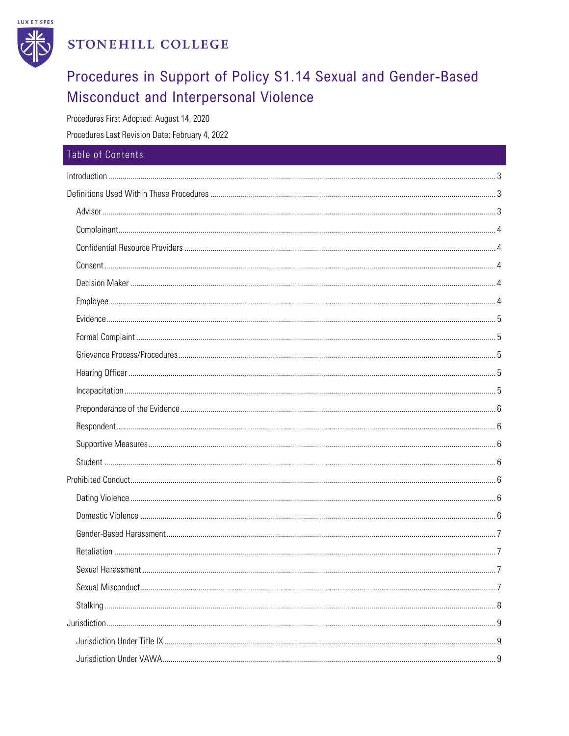

# STONEHILL COLLEGE

# Procedures in Support of Policy S1.14 Sexual and Gender-Based Misconduct and Interpersonal Violence

Procedures First Adopted: August 14, 2020

Procedures Last Revision Date: February 4, 2022

| Table of Contents |  |
|-------------------|--|
|                   |  |
|                   |  |
|                   |  |
|                   |  |
|                   |  |
|                   |  |
|                   |  |
|                   |  |
|                   |  |
|                   |  |
|                   |  |
|                   |  |
|                   |  |
|                   |  |
|                   |  |
|                   |  |
|                   |  |
|                   |  |
|                   |  |
|                   |  |
|                   |  |
|                   |  |
|                   |  |
|                   |  |
|                   |  |
|                   |  |
|                   |  |
|                   |  |
|                   |  |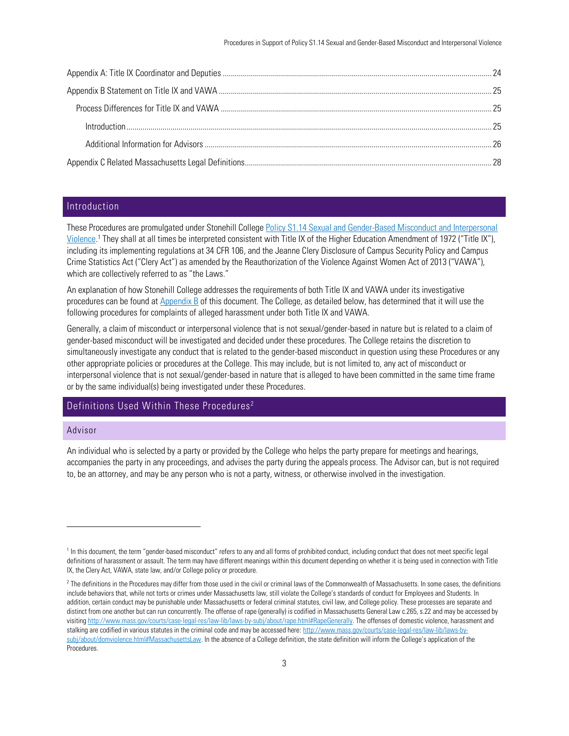## <span id="page-2-0"></span>Introduction

These Procedures are promulgated under Stonehill College [Policy S1.14 Sexual and Gender-Based Misconduct](https://stonehillpolicies.myomni.us/portal/index.php/table-of-contents-1/sa-sub/23-s1-14-opposition-to-sexual-and-gender-based-misconduct-and-interpersonal-violence) and Interpersonal [Violence.](https://stonehillpolicies.myomni.us/portal/index.php/table-of-contents-1/sa-sub/23-s1-14-opposition-to-sexual-and-gender-based-misconduct-and-interpersonal-violence)<sup>1</sup> They shall at all times be interpreted consistent with Title IX of the Higher Education Amendment of 1972 ("Title IX"), including its implementing regulations at 34 CFR 106, and the Jeanne Clery Disclosure of Campus Security Policy and Campus Crime Statistics Act ("Clery Act") as amended by the Reauthorization of the Violence Against Women Act of 2013 ("VAWA"), which are collectively referred to as "the Laws."

An explanation of how Stonehill College addresses the requirements of both Title IX and VAWA under its investigative procedures can be found a[t Appendix B](#page-24-0) of this document. The College, as detailed below, has determined that it will use the following procedures for complaints of alleged harassment under both Title IX and VAWA.

Generally, a claim of misconduct or interpersonal violence that is not sexual/gender-based in nature but is related to a claim of gender-based misconduct will be investigated and decided under these procedures. The College retains the discretion to simultaneously investigate any conduct that is related to the gender-based misconduct in question using these Procedures or any other appropriate policies or procedures at the College. This may include, but is not limited to, any act of misconduct or interpersonal violence that is not sexual/gender-based in nature that is alleged to have been committed in the same time frame or by the same individual(s) being investigated under these Procedures.

# <span id="page-2-1"></span>Definitions Used Within These Procedures<sup>2</sup>

## <span id="page-2-2"></span>Advisor

An individual who is selected by a party or provided by the College who helps the party prepare for meetings and hearings, accompanies the party in any proceedings, and advises the party during the appeals process. The Advisor can, but is not required to, be an attorney, and may be any person who is not a party, witness, or otherwise involved in the investigation.

<sup>&</sup>lt;sup>1</sup> In this document, the term "gender-based misconduct" refers to any and all forms of prohibited conduct, including conduct that does not meet specific legal definitions of harassment or assault. The term may have different meanings within this document depending on whether it is being used in connection with Title IX, the Clery Act, VAWA, state law, and/or College policy or procedure.

 $^2$  The definitions in the Procedures may differ from those used in the civil or criminal laws of the Commonwealth of Massachusetts. In some cases, the definitions include behaviors that, while not torts or crimes under Massachusetts law, still violate the College's standards of conduct for Employees and Students. In addition, certain conduct may be punishable under Massachusetts or federal criminal statutes, civil law, and College policy. These processes are separate and distinct from one another but can run concurrently. The offense of rape (generally) is codified in Massachusetts General Law c.265, s.22 and may be accessed by visitin[g http://www.mass.gov/courts/case-legal-res/law-lib/laws-by-subj/about/rape.html#RapeGenerally.](http://www.mass.gov/courts/case-legal-res/law-lib/laws-by-subj/about/rape.html#RapeGenerally) The offenses of domestic violence, harassment and stalking are codified in various statutes in the criminal code and may be accessed here[: http://www.mass.gov/courts/case-legal-res/law-lib/laws-by](http://www.mass.gov/courts/case-legal-res/law-lib/laws-by-%20subj/about/domviolence.html#MassachusettsLaw)[subj/about/domviolence.html#MassachusettsLaw](http://www.mass.gov/courts/case-legal-res/law-lib/laws-by-%20subj/about/domviolence.html#MassachusettsLaw). In the absence of a College definition, the state definition will inform the College's application of the **Procedures**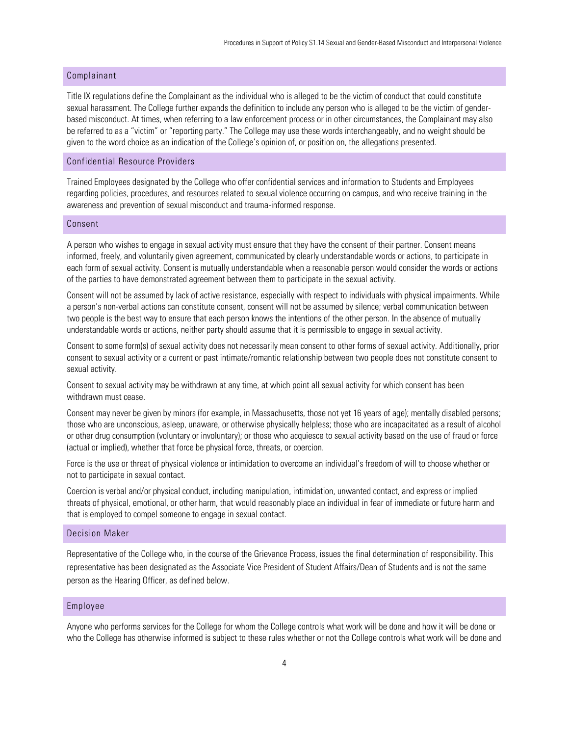## <span id="page-3-0"></span>Complainant

Title IX regulations define the Complainant as the individual who is alleged to be the victim of conduct that could constitute sexual harassment. The College further expands the definition to include any person who is alleged to be the victim of genderbased misconduct. At times, when referring to a law enforcement process or in other circumstances, the Complainant may also be referred to as a "victim" or "reporting party." The College may use these words interchangeably, and no weight should be given to the word choice as an indication of the College's opinion of, or position on, the allegations presented.

## <span id="page-3-1"></span>Confidential Resource Providers

Trained Employees designated by the College who offer confidential services and information to Students and Employees regarding policies, procedures, and resources related to sexual violence occurring on campus, and who receive training in the awareness and prevention of sexual misconduct and trauma-informed response.

## <span id="page-3-2"></span>Consent

A person who wishes to engage in sexual activity must ensure that they have the consent of their partner. Consent means informed, freely, and voluntarily given agreement, communicated by clearly understandable words or actions, to participate in each form of sexual activity. Consent is mutually understandable when a reasonable person would consider the words or actions of the parties to have demonstrated agreement between them to participate in the sexual activity.

Consent will not be assumed by lack of active resistance, especially with respect to individuals with physical impairments. While a person's non-verbal actions can constitute consent, consent will not be assumed by silence; verbal communication between two people is the best way to ensure that each person knows the intentions of the other person. In the absence of mutually understandable words or actions, neither party should assume that it is permissible to engage in sexual activity.

Consent to some form(s) of sexual activity does not necessarily mean consent to other forms of sexual activity. Additionally, prior consent to sexual activity or a current or past intimate/romantic relationship between two people does not constitute consent to sexual activity.

Consent to sexual activity may be withdrawn at any time, at which point all sexual activity for which consent has been withdrawn must cease.

Consent may never be given by minors (for example, in Massachusetts, those not yet 16 years of age); mentally disabled persons; those who are unconscious, asleep, unaware, or otherwise physically helpless; those who are incapacitated as a result of alcohol or other drug consumption (voluntary or involuntary); or those who acquiesce to sexual activity based on the use of fraud or force (actual or implied), whether that force be physical force, threats, or coercion.

Force is the use or threat of physical violence or intimidation to overcome an individual's freedom of will to choose whether or not to participate in sexual contact.

Coercion is verbal and/or physical conduct, including manipulation, intimidation, unwanted contact, and express or implied threats of physical, emotional, or other harm, that would reasonably place an individual in fear of immediate or future harm and that is employed to compel someone to engage in sexual contact.

#### <span id="page-3-3"></span>Decision Maker

Representative of the College who, in the course of the Grievance Process, issues the final determination of responsibility. This representative has been designated as the Associate Vice President of Student Affairs/Dean of Students and is not the same person as the Hearing Officer, as defined below.

#### <span id="page-3-4"></span>Employee

Anyone who performs services for the College for whom the College controls what work will be done and how it will be done or who the College has otherwise informed is subject to these rules whether or not the College controls what work will be done and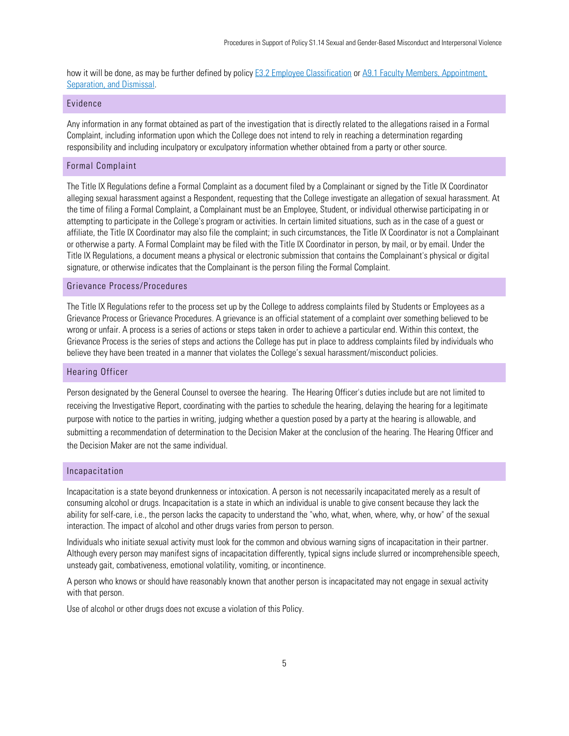how it will be done, as may be further defined by policy **E3.2** Employee Classification or A9.1 Faculty Members, Appointment, [Separation, and Dismissal.](https://stonehillpolicies.myomni.us/portal/index.php/table-of-contents-1/academic-sub/255-a9-1-faculty-members-appointment-separation-and-dismissal)

## <span id="page-4-0"></span>Evidence

Any information in any format obtained as part of the investigation that is directly related to the allegations raised in a Formal Complaint, including information upon which the College does not intend to rely in reaching a determination regarding responsibility and including inculpatory or exculpatory information whether obtained from a party or other source.

#### <span id="page-4-1"></span>Formal Complaint

The Title IX Regulations define a Formal Complaint as a document filed by a Complainant or signed by the Title IX Coordinator alleging sexual harassment against a Respondent, requesting that the College investigate an allegation of sexual harassment. At the time of filing a Formal Complaint, a Complainant must be an Employee, Student, or individual otherwise participating in or attempting to participate in the College's program or activities. In certain limited situations, such as in the case of a guest or affiliate, the Title IX Coordinator may also file the complaint; in such circumstances, the Title IX Coordinator is not a Complainant or otherwise a party. A Formal Complaint may be filed with the Title IX Coordinator in person, by mail, or by email. Under the Title IX Regulations, a document means a physical or electronic submission that contains the Complainant's physical or digital signature, or otherwise indicates that the Complainant is the person filing the Formal Complaint.

## <span id="page-4-2"></span>Grievance Process/Procedures

The Title IX Regulations refer to the process set up by the College to address complaints filed by Students or Employees as a Grievance Process or Grievance Procedures. A grievance is an official statement of a complaint over something believed to be wrong or unfair. A process is a series of actions or steps taken in order to achieve a particular end. Within this context, the Grievance Process is the series of steps and actions the College has put in place to address complaints filed by individuals who believe they have been treated in a manner that violates the College's sexual harassment/misconduct policies.

## <span id="page-4-3"></span>Hearing Officer

Person designated by the General Counsel to oversee the hearing. The Hearing Officer's duties include but are not limited to receiving the Investigative Report, coordinating with the parties to schedule the hearing, delaying the hearing for a legitimate purpose with notice to the parties in writing, judging whether a question posed by a party at the hearing is allowable, and submitting a recommendation of determination to the Decision Maker at the conclusion of the hearing. The Hearing Officer and the Decision Maker are not the same individual.

## <span id="page-4-4"></span>Incapacitation

Incapacitation is a state beyond drunkenness or intoxication. A person is not necessarily incapacitated merely as a result of consuming alcohol or drugs. Incapacitation is a state in which an individual is unable to give consent because they lack the ability for self-care, i.e., the person lacks the capacity to understand the "who, what, when, where, why, or how" of the sexual interaction. The impact of alcohol and other drugs varies from person to person.

Individuals who initiate sexual activity must look for the common and obvious warning signs of incapacitation in their partner. Although every person may manifest signs of incapacitation differently, typical signs include slurred or incomprehensible speech, unsteady gait, combativeness, emotional volatility, vomiting, or incontinence.

A person who knows or should have reasonably known that another person is incapacitated may not engage in sexual activity with that person.

Use of alcohol or other drugs does not excuse a violation of this Policy.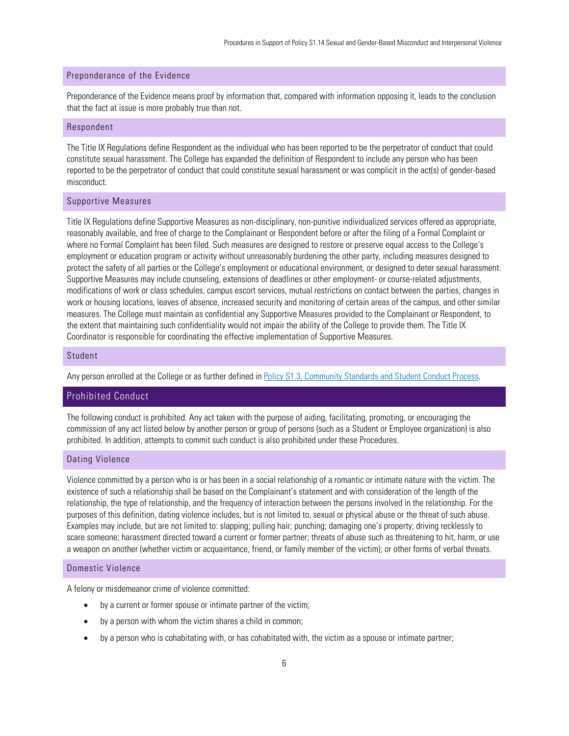## <span id="page-5-0"></span>Preponderance of the Evidence

Preponderance of the Evidence means proof by information that, compared with information opposing it, leads to the conclusion that the fact at issue is more probably true than not.

#### <span id="page-5-1"></span>Respondent

The Title IX Regulations define Respondent as the individual who has been reported to be the perpetrator of conduct that could constitute sexual harassment. The College has expanded the definition of Respondent to include any person who has been reported to be the perpetrator of conduct that could constitute sexual harassment or was complicit in the act(s) of gender-based misconduct.

#### <span id="page-5-2"></span>Supportive Measures

Title IX Regulations define Supportive Measures as non-disciplinary, non-punitive individualized services offered as appropriate, reasonably available, and free of charge to the Complainant or Respondent before or after the filing of a Formal Complaint or where no Formal Complaint has been filed. Such measures are designed to restore or preserve equal access to the College's employment or education program or activity without unreasonably burdening the other party, including measures designed to protect the safety of all parties or the College's employment or educational environment, or designed to deter sexual harassment. Supportive Measures may include counseling, extensions of deadlines or other employment- or course-related adjustments, modifications of work or class schedules, campus escort services, mutual restrictions on contact between the parties, changes in work or housing locations, leaves of absence, increased security and monitoring of certain areas of the campus, and other similar measures. The College must maintain as confidential any Supportive Measures provided to the Complainant or Respondent, to the extent that maintaining such confidentiality would not impair the ability of the College to provide them. The Title IX Coordinator is responsible for coordinating the effective implementation of Supportive Measures.

#### <span id="page-5-3"></span>Student

Any person enrolled at the College or as further defined in [Policy S1.3, Community Standards and Student Conduct Process.](https://stonehillpolicies.myomni.us/portal/index.php/table-of-contents-1/sa-sub/38-s1-3-community-standards-and-student-conduct-process)

## <span id="page-5-4"></span>Prohibited Conduct

The following conduct is prohibited. Any act taken with the purpose of aiding, facilitating, promoting, or encouraging the commission of any act listed below by another person or group of persons (such as a Student or Employee organization) is also prohibited. In addition, attempts to commit such conduct is also prohibited under these Procedures.

## <span id="page-5-5"></span>Dating Violence

Violence committed by a person who is or has been in a social relationship of a romantic or intimate nature with the victim. The existence of such a relationship shall be based on the Complainant's statement and with consideration of the length of the relationship, the type of relationship, and the frequency of interaction between the persons involved in the relationship. For the purposes of this definition, dating violence includes, but is not limited to, sexual or physical abuse or the threat of such abuse. Examples may include, but are not limited to: slapping; pulling hair; punching; damaging one's property; driving recklessly to scare someone; harassment directed toward a current or former partner; threats of abuse such as threatening to hit, harm, or use a weapon on another (whether victim or acquaintance, friend, or family member of the victim); or other forms of verbal threats.

#### <span id="page-5-6"></span>Domestic Violence

A felony or misdemeanor crime of violence committed:

- by a current or former spouse or intimate partner of the victim;
- by a person with whom the victim shares a child in common;
- by a person who is cohabitating with, or has cohabitated with, the victim as a spouse or intimate partner;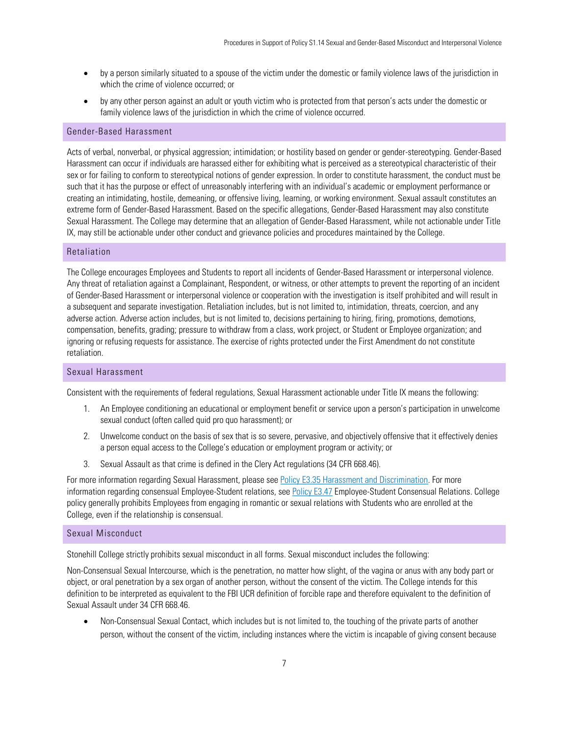- by a person similarly situated to a spouse of the victim under the domestic or family violence laws of the jurisdiction in which the crime of violence occurred; or
- by any other person against an adult or youth victim who is protected from that person's acts under the domestic or family violence laws of the jurisdiction in which the crime of violence occurred.

### <span id="page-6-0"></span>Gender-Based Harassment

Acts of verbal, nonverbal, or physical aggression; intimidation; or hostility based on gender or gender-stereotyping. Gender-Based Harassment can occur if individuals are harassed either for exhibiting what is perceived as a stereotypical characteristic of their sex or for failing to conform to stereotypical notions of gender expression. In order to constitute harassment, the conduct must be such that it has the purpose or effect of unreasonably interfering with an individual's academic or employment performance or creating an intimidating, hostile, demeaning, or offensive living, learning, or working environment. Sexual assault constitutes an extreme form of Gender-Based Harassment. Based on the specific allegations, Gender-Based Harassment may also constitute Sexual Harassment. The College may determine that an allegation of Gender-Based Harassment, while not actionable under Title IX, may still be actionable under other conduct and grievance policies and procedures maintained by the College.

#### <span id="page-6-1"></span>Retaliation

The College encourages Employees and Students to report all incidents of Gender-Based Harassment or interpersonal violence. Any threat of retaliation against a Complainant, Respondent, or witness, or other attempts to prevent the reporting of an incident of Gender-Based Harassment or interpersonal violence or cooperation with the investigation is itself prohibited and will result in a subsequent and separate investigation. Retaliation includes, but is not limited to, intimidation, threats, coercion, and any adverse action. Adverse action includes, but is not limited to, decisions pertaining to hiring, firing, promotions, demotions, compensation, benefits, grading; pressure to withdraw from a class, work project, or Student or Employee organization; and ignoring or refusing requests for assistance. The exercise of rights protected under the First Amendment do not constitute retaliation.

#### <span id="page-6-2"></span>Sexual Harassment

Consistent with the requirements of federal regulations, Sexual Harassment actionable under Title IX means the following:

- 1. An Employee conditioning an educational or employment benefit or service upon a person's participation in unwelcome sexual conduct (often called quid pro quo harassment); or
- 2. Unwelcome conduct on the basis of sex that is so severe, pervasive, and objectively offensive that it effectively denies a person equal access to the College's education or employment program or activity; or
- 3. Sexual Assault as that crime is defined in the Clery Act regulations (34 CFR 668.46).

For more information regarding Sexual Harassment, please see [Policy E3.35 Harassment](https://stonehillpolicies.myomni.us/portal/index.php/table-of-contents-1/exec-sub/174-e3-35-opposition-to-harassment-discrimination) and Discrimination. For more information regarding consensual Employee-Student relations, se[e Policy E3.47](https://stonehillpolicies.myomni.us/portal/index.php/table-of-contents-1/exec-sub/186-e3-47-employee-student-consensual-relations) Employee-Student Consensual Relations. College policy generally prohibits Employees from engaging in romantic or sexual relations with Students who are enrolled at the College, even if the relationship is consensual.

#### <span id="page-6-3"></span>Sexual Misconduct

Stonehill College strictly prohibits sexual misconduct in all forms. Sexual misconduct includes the following:

Non-Consensual Sexual Intercourse, which is the penetration, no matter how slight, of the vagina or anus with any body part or object, or oral penetration by a sex organ of another person, without the consent of the victim. The College intends for this definition to be interpreted as equivalent to the FBI UCR definition of forcible rape and therefore equivalent to the definition of Sexual Assault under 34 CFR 668.46.

• Non-Consensual Sexual Contact, which includes but is not limited to, the touching of the private parts of another person, without the consent of the victim, including instances where the victim is incapable of giving consent because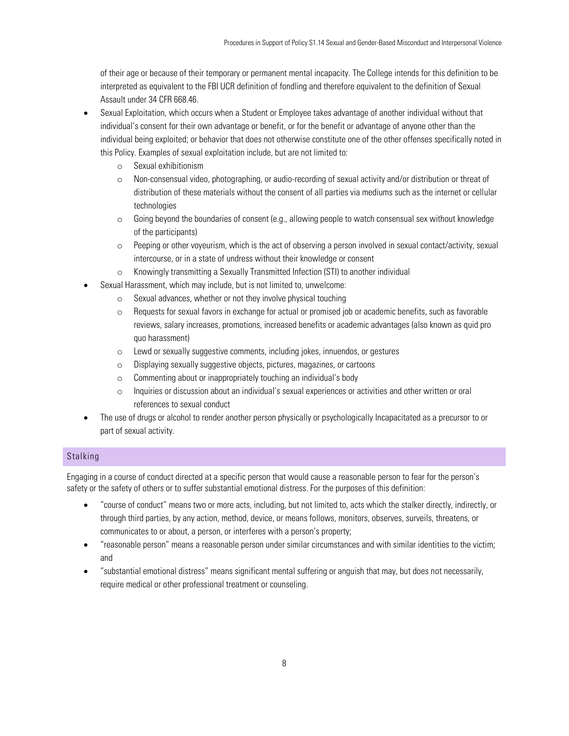of their age or because of their temporary or permanent mental incapacity. The College intends for this definition to be interpreted as equivalent to the FBI UCR definition of fondling and therefore equivalent to the definition of Sexual Assault under 34 CFR 668.46.

- Sexual Exploitation, which occurs when a Student or Employee takes advantage of another individual without that individual's consent for their own advantage or benefit, or for the benefit or advantage of anyone other than the individual being exploited; or behavior that does not otherwise constitute one of the other offenses specifically noted in this Policy. Examples of sexual exploitation include, but are not limited to:
	- o Sexual exhibitionism
	- o Non-consensual video, photographing, or audio-recording of sexual activity and/or distribution or threat of distribution of these materials without the consent of all parties via mediums such as the internet or cellular technologies
	- $\circ$  Going beyond the boundaries of consent (e.g., allowing people to watch consensual sex without knowledge of the participants)
	- o Peeping or other voyeurism, which is the act of observing a person involved in sexual contact/activity, sexual intercourse, or in a state of undress without their knowledge or consent
	- o Knowingly transmitting a Sexually Transmitted Infection (STI) to another individual
- Sexual Harassment, which may include, but is not limited to, unwelcome:
	- o Sexual advances, whether or not they involve physical touching
	- o Requests for sexual favors in exchange for actual or promised job or academic benefits, such as favorable reviews, salary increases, promotions, increased benefits or academic advantages (also known as quid pro quo harassment)
	- o Lewd or sexually suggestive comments, including jokes, innuendos, or gestures
	- o Displaying sexually suggestive objects, pictures, magazines, or cartoons
	- o Commenting about or inappropriately touching an individual's body
	- o Inquiries or discussion about an individual's sexual experiences or activities and other written or oral references to sexual conduct
- The use of drugs or alcohol to render another person physically or psychologically Incapacitated as a precursor to or part of sexual activity.

## <span id="page-7-0"></span>Stalking

Engaging in a course of conduct directed at a specific person that would cause a reasonable person to fear for the person's safety or the safety of others or to suffer substantial emotional distress. For the purposes of this definition:

- "course of conduct" means two or more acts, including, but not limited to, acts which the stalker directly, indirectly, or through third parties, by any action, method, device, or means follows, monitors, observes, surveils, threatens, or communicates to or about, a person, or interferes with a person's property;
- "reasonable person" means a reasonable person under similar circumstances and with similar identities to the victim; and
- "substantial emotional distress" means significant mental suffering or anguish that may, but does not necessarily, require medical or other professional treatment or counseling.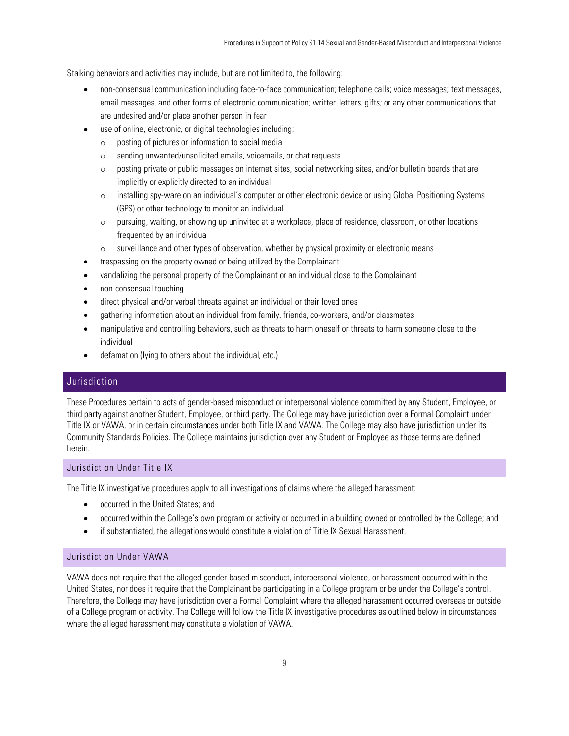Stalking behaviors and activities may include, but are not limited to, the following:

- non-consensual communication including face-to-face communication; telephone calls; voice messages; text messages, email messages, and other forms of electronic communication; written letters; gifts; or any other communications that are undesired and/or place another person in fear
- use of online, electronic, or digital technologies including:
	- o posting of pictures or information to social media
	- o sending unwanted/unsolicited emails, voicemails, or chat requests
	- o posting private or public messages on internet sites, social networking sites, and/or bulletin boards that are implicitly or explicitly directed to an individual
	- o installing spy-ware on an individual's computer or other electronic device or using Global Positioning Systems (GPS) or other technology to monitor an individual
	- o pursuing, waiting, or showing up uninvited at a workplace, place of residence, classroom, or other locations frequented by an individual
	- $\circ$  surveillance and other types of observation, whether by physical proximity or electronic means
- trespassing on the property owned or being utilized by the Complainant
- vandalizing the personal property of the Complainant or an individual close to the Complainant
- non-consensual touching
- direct physical and/or verbal threats against an individual or their loved ones
- gathering information about an individual from family, friends, co-workers, and/or classmates
- manipulative and controlling behaviors, such as threats to harm oneself or threats to harm someone close to the individual
- defamation (lying to others about the individual, etc.)

# <span id="page-8-0"></span>Jurisdiction

These Procedures pertain to acts of gender-based misconduct or interpersonal violence committed by any Student, Employee, or third party against another Student, Employee, or third party. The College may have jurisdiction over a Formal Complaint under Title IX or VAWA, or in certain circumstances under both Title IX and VAWA. The College may also have jurisdiction under its Community Standards Policies. The College maintains jurisdiction over any Student or Employee as those terms are defined herein.

#### <span id="page-8-1"></span>Jurisdiction Under Title IX

The Title IX investigative procedures apply to all investigations of claims where the alleged harassment:

- occurred in the United States; and
- occurred within the College's own program or activity or occurred in a building owned or controlled by the College; and
- if substantiated, the allegations would constitute a violation of Title IX Sexual Harassment.

#### <span id="page-8-2"></span>Jurisdiction Under VAWA

VAWA does not require that the alleged gender-based misconduct, interpersonal violence, or harassment occurred within the United States, nor does it require that the Complainant be participating in a College program or be under the College's control. Therefore, the College may have jurisdiction over a Formal Complaint where the alleged harassment occurred overseas or outside of a College program or activity. The College will follow the Title IX investigative procedures as outlined below in circumstances where the alleged harassment may constitute a violation of VAWA.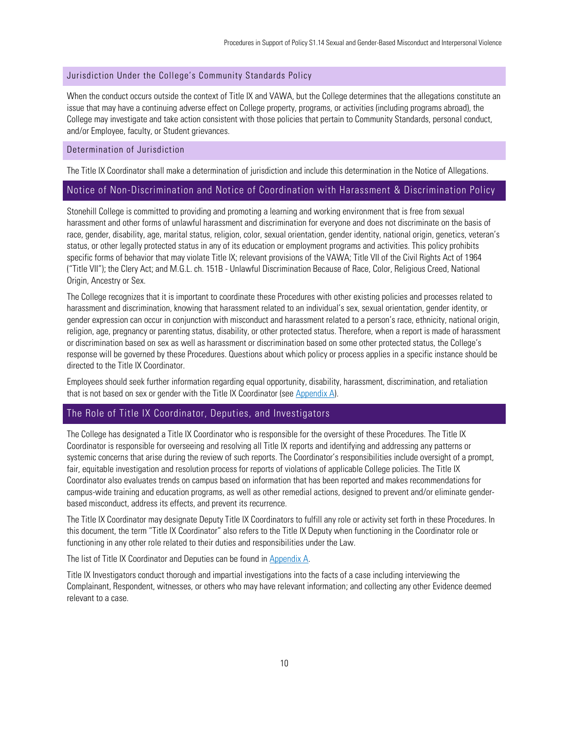#### <span id="page-9-0"></span>Jurisdiction Under the College's Community Standards Policy

When the conduct occurs outside the context of Title IX and VAWA, but the College determines that the allegations constitute an issue that may have a continuing adverse effect on College property, programs, or activities (including programs abroad), the College may investigate and take action consistent with those policies that pertain to Community Standards, personal conduct, and/or Employee, faculty, or Student grievances.

## <span id="page-9-1"></span>Determination of Jurisdiction

The Title IX Coordinator shall make a determination of jurisdiction and include this determination in the Notice of Allegations.

## <span id="page-9-2"></span>Notice of Non-Discrimination and Notice of Coordination with Harassment & Discrimination Policy

Stonehill College is committed to providing and promoting a learning and working environment that is free from sexual harassment and other forms of unlawful harassment and discrimination for everyone and does not discriminate on the basis of race, gender, disability, age, marital status, religion, color, sexual orientation, gender identity, national origin, genetics, veteran's status, or other legally protected status in any of its education or employment programs and activities. This policy prohibits specific forms of behavior that may violate Title IX; relevant provisions of the VAWA; Title VII of the Civil Rights Act of 1964 ("Title VII"); the Clery Act; and M.G.L. ch. 151B - Unlawful Discrimination Because of Race, Color, Religious Creed, National Origin, Ancestry or Sex.

The College recognizes that it is important to coordinate these Procedures with other existing policies and processes related to harassment and discrimination, knowing that harassment related to an individual's sex, sexual orientation, gender identity, or gender expression can occur in conjunction with misconduct and harassment related to a person's race, ethnicity, national origin, religion, age, pregnancy or parenting status, disability, or other protected status. Therefore, when a report is made of harassment or discrimination based on sex as well as harassment or discrimination based on some other protected status, the College's response will be governed by these Procedures. Questions about which policy or process applies in a specific instance should be directed to the Title IX Coordinator.

Employees should seek further information regarding equal opportunity, disability, harassment, discrimination, and retaliation that is not based on sex or gender with the Title IX Coordinator (see [Appendix A\)](#page-23-0).

# <span id="page-9-3"></span>The Role of Title IX Coordinator, Deputies, and Investigators

The College has designated a Title IX Coordinator who is responsible for the oversight of these Procedures. The Title IX Coordinator is responsible for overseeing and resolving all Title IX reports and identifying and addressing any patterns or systemic concerns that arise during the review of such reports. The Coordinator's responsibilities include oversight of a prompt, fair, equitable investigation and resolution process for reports of violations of applicable College policies. The Title IX Coordinator also evaluates trends on campus based on information that has been reported and makes recommendations for campus-wide training and education programs, as well as other remedial actions, designed to prevent and/or eliminate genderbased misconduct, address its effects, and prevent its recurrence.

The Title IX Coordinator may designate Deputy Title IX Coordinators to fulfill any role or activity set forth in these Procedures. In this document, the term "Title IX Coordinator" also refers to the Title IX Deputy when functioning in the Coordinator role or functioning in any other role related to their duties and responsibilities under the Law.

The list of Title IX Coordinator and Deputies can be found in [Appendix A.](#page-23-0)

Title IX Investigators conduct thorough and impartial investigations into the facts of a case including interviewing the Complainant, Respondent, witnesses, or others who may have relevant information; and collecting any other Evidence deemed relevant to a case.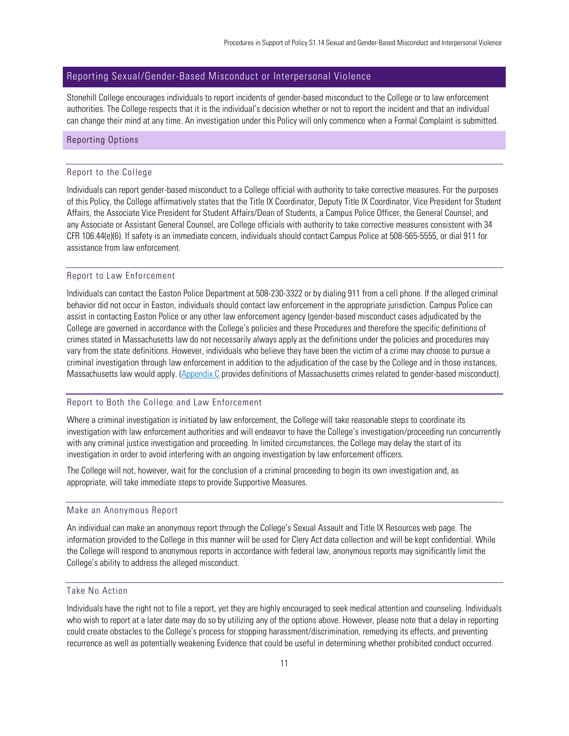# <span id="page-10-0"></span>Reporting Sexual/Gender-Based Misconduct or Interpersonal Violence

Stonehill College encourages individuals to report incidents of gender-based misconduct to the College or to law enforcement authorities. The College respects that it is the individual's decision whether or not to report the incident and that an individual can change their mind at any time. An investigation under this Policy will only commence when a Formal Complaint is submitted.

## <span id="page-10-2"></span><span id="page-10-1"></span>Reporting Options

#### Report to the College

Individuals can report gender-based misconduct to a College official with authority to take corrective measures. For the purposes of this Policy, the College affirmatively states that the Title IX Coordinator, Deputy Title IX Coordinator, Vice President for Student Affairs, the Associate Vice President for Student Affairs/Dean of Students, a Campus Police Officer, the General Counsel, and any Associate or Assistant General Counsel, are College officials with authority to take corrective measures consistent with 34 CFR 106.44(e)(6). If safety is an immediate concern, individuals should contact Campus Police at 508-565-5555, or dial 911 for assistance from law enforcement.

## <span id="page-10-3"></span>Report to Law Enforcement

Individuals can contact the Easton Police Department at 508-230-3322 or by dialing 911 from a cell phone. If the alleged criminal behavior did not occur in Easton, individuals should contact law enforcement in the appropriate jurisdiction. Campus Police can assist in contacting Easton Police or any other law enforcement agency (gender-based misconduct cases adjudicated by the College are governed in accordance with the College's policies and these Procedures and therefore the specific definitions of crimes stated in Massachusetts law do not necessarily always apply as the definitions under the policies and procedures may vary from the state definitions. However, individuals who believe they have been the victim of a crime may choose to pursue a criminal investigation through law enforcement in addition to the adjudication of the case by the College and in those instances, Massachusetts law would apply. [\(Appendix C](#page-27-0) provides definitions of Massachusetts crimes related to gender-based misconduct).

#### <span id="page-10-4"></span>Report to Both the College and Law Enforcement

Where a criminal investigation is initiated by law enforcement, the College will take reasonable steps to coordinate its investigation with law enforcement authorities and will endeavor to have the College's investigation/proceeding run concurrently with any criminal justice investigation and proceeding. In limited circumstances, the College may delay the start of its investigation in order to avoid interfering with an ongoing investigation by law enforcement officers.

The College will not, however, wait for the conclusion of a criminal proceeding to begin its own investigation and, as appropriate, will take immediate steps to provide Supportive Measures.

## <span id="page-10-5"></span>Make an Anonymous Report

An individual can make an anonymous report through the College's Sexual Assault and Title IX Resources web page. The information provided to the College in this manner will be used for Clery Act data collection and will be kept confidential. While the College will respond to anonymous reports in accordance with federal law, anonymous reports may significantly limit the College's ability to address the alleged misconduct.

#### <span id="page-10-6"></span>Take No Action

Individuals have the right not to file a report, yet they are highly encouraged to seek medical attention and counseling. Individuals who wish to report at a later date may do so by utilizing any of the options above. However, please note that a delay in reporting could create obstacles to the College's process for stopping harassment/discrimination, remedying its effects, and preventing recurrence as well as potentially weakening Evidence that could be useful in determining whether prohibited conduct occurred.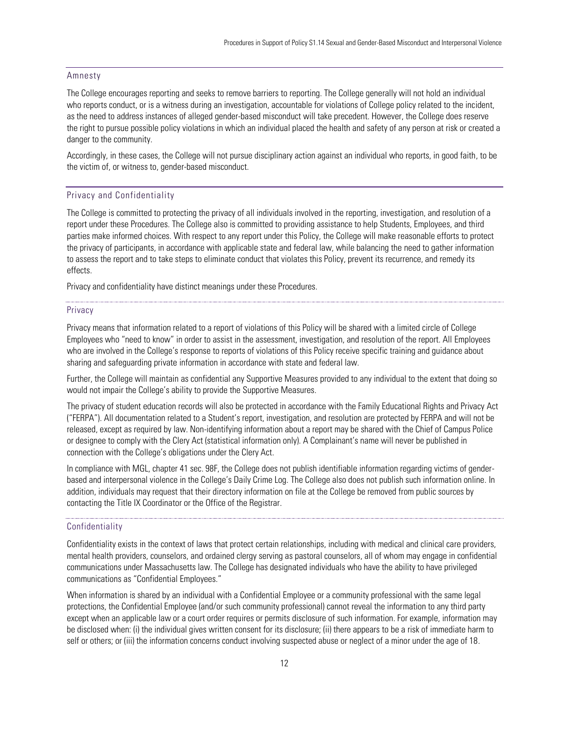#### <span id="page-11-0"></span>Amnesty

The College encourages reporting and seeks to remove barriers to reporting. The College generally will not hold an individual who reports conduct, or is a witness during an investigation, accountable for violations of College policy related to the incident, as the need to address instances of alleged gender-based misconduct will take precedent. However, the College does reserve the right to pursue possible policy violations in which an individual placed the health and safety of any person at risk or created a danger to the community.

Accordingly, in these cases, the College will not pursue disciplinary action against an individual who reports, in good faith, to be the victim of, or witness to, gender-based misconduct.

#### <span id="page-11-1"></span>Privacy and Confidentiality

The College is committed to protecting the privacy of all individuals involved in the reporting, investigation, and resolution of a report under these Procedures. The College also is committed to providing assistance to help Students, Employees, and third parties make informed choices. With respect to any report under this Policy, the College will make reasonable efforts to protect the privacy of participants, in accordance with applicable state and federal law, while balancing the need to gather information to assess the report and to take steps to eliminate conduct that violates this Policy, prevent its recurrence, and remedy its effects.

Privacy and confidentiality have distinct meanings under these Procedures.

#### **Privacy**

Privacy means that information related to a report of violations of this Policy will be shared with a limited circle of College Employees who "need to know" in order to assist in the assessment, investigation, and resolution of the report. All Employees who are involved in the College's response to reports of violations of this Policy receive specific training and guidance about sharing and safeguarding private information in accordance with state and federal law.

Further, the College will maintain as confidential any Supportive Measures provided to any individual to the extent that doing so would not impair the College's ability to provide the Supportive Measures.

The privacy of student education records will also be protected in accordance with the Family Educational Rights and Privacy Act ("FERPA"). All documentation related to a Student's report, investigation, and resolution are protected by FERPA and will not be released, except as required by law. Non-identifying information about a report may be shared with the Chief of Campus Police or designee to comply with the Clery Act (statistical information only). A Complainant's name will never be published in connection with the College's obligations under the Clery Act.

In compliance with MGL, chapter 41 sec. 98F, the College does not publish identifiable information regarding victims of genderbased and interpersonal violence in the College's Daily Crime Log. The College also does not publish such information online. In addition, individuals may request that their directory information on file at the College be removed from public sources by contacting the Title IX Coordinator or the Office of the Registrar.

#### **Confidentiality**

Confidentiality exists in the context of laws that protect certain relationships, including with medical and clinical care providers, mental health providers, counselors, and ordained clergy serving as pastoral counselors, all of whom may engage in confidential communications under Massachusetts law. The College has designated individuals who have the ability to have privileged communications as "Confidential Employees."

When information is shared by an individual with a Confidential Employee or a community professional with the same legal protections, the Confidential Employee (and/or such community professional) cannot reveal the information to any third party except when an applicable law or a court order requires or permits disclosure of such information. For example, information may be disclosed when: (i) the individual gives written consent for its disclosure; (ii) there appears to be a risk of immediate harm to self or others; or (iii) the information concerns conduct involving suspected abuse or neglect of a minor under the age of 18.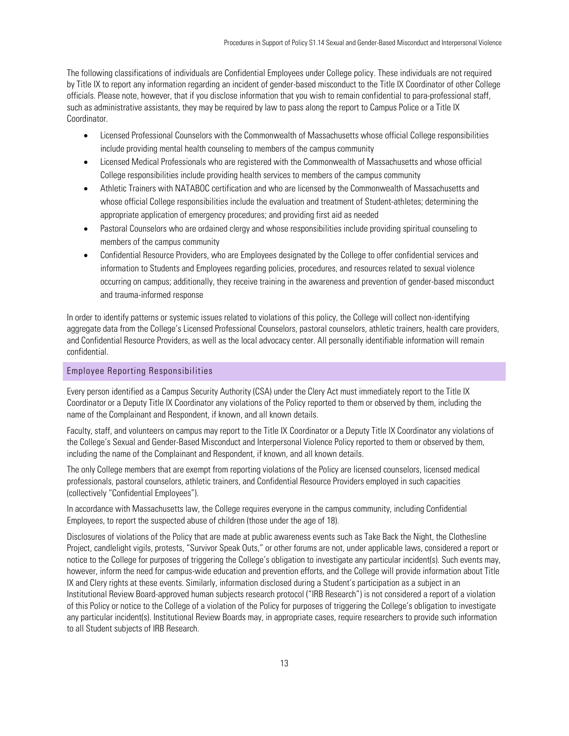The following classifications of individuals are Confidential Employees under College policy. These individuals are not required by Title IX to report any information regarding an incident of gender-based misconduct to the Title IX Coordinator of other College officials. Please note, however, that if you disclose information that you wish to remain confidential to para-professional staff, such as administrative assistants, they may be required by law to pass along the report to Campus Police or a Title IX Coordinator.

- Licensed Professional Counselors with the Commonwealth of Massachusetts whose official College responsibilities include providing mental health counseling to members of the campus community
- Licensed Medical Professionals who are registered with the Commonwealth of Massachusetts and whose official College responsibilities include providing health services to members of the campus community
- Athletic Trainers with NATABOC certification and who are licensed by the Commonwealth of Massachusetts and whose official College responsibilities include the evaluation and treatment of Student-athletes; determining the appropriate application of emergency procedures; and providing first aid as needed
- Pastoral Counselors who are ordained clergy and whose responsibilities include providing spiritual counseling to members of the campus community
- Confidential Resource Providers, who are Employees designated by the College to offer confidential services and information to Students and Employees regarding policies, procedures, and resources related to sexual violence occurring on campus; additionally, they receive training in the awareness and prevention of gender-based misconduct and trauma-informed response

In order to identify patterns or systemic issues related to violations of this policy, the College will collect non-identifying aggregate data from the College's Licensed Professional Counselors, pastoral counselors, athletic trainers, health care providers, and Confidential Resource Providers, as well as the local advocacy center. All personally identifiable information will remain confidential.

## <span id="page-12-0"></span>Employee Reporting Responsibilities

Every person identified as a Campus Security Authority (CSA) under the Clery Act must immediately report to the Title IX Coordinator or a Deputy Title IX Coordinator any violations of the Policy reported to them or observed by them, including the name of the Complainant and Respondent, if known, and all known details.

Faculty, staff, and volunteers on campus may report to the Title IX Coordinator or a Deputy Title IX Coordinator any violations of the College's Sexual and Gender-Based Misconduct and Interpersonal Violence Policy reported to them or observed by them, including the name of the Complainant and Respondent, if known, and all known details.

The only College members that are exempt from reporting violations of the Policy are licensed counselors, licensed medical professionals, pastoral counselors, athletic trainers, and Confidential Resource Providers employed in such capacities (collectively "Confidential Employees").

In accordance with Massachusetts law, the College requires everyone in the campus community, including Confidential Employees, to report the suspected abuse of children (those under the age of 18).

Disclosures of violations of the Policy that are made at public awareness events such as Take Back the Night, the Clothesline Project, candlelight vigils, protests, "Survivor Speak Outs," or other forums are not, under applicable laws, considered a report or notice to the College for purposes of triggering the College's obligation to investigate any particular incident(s). Such events may, however, inform the need for campus-wide education and prevention efforts, and the College will provide information about Title IX and Clery rights at these events. Similarly, information disclosed during a Student's participation as a subject in an Institutional Review Board-approved human subjects research protocol ("IRB Research") is not considered a report of a violation of this Policy or notice to the College of a violation of the Policy for purposes of triggering the College's obligation to investigate any particular incident(s). Institutional Review Boards may, in appropriate cases, require researchers to provide such information to all Student subjects of IRB Research.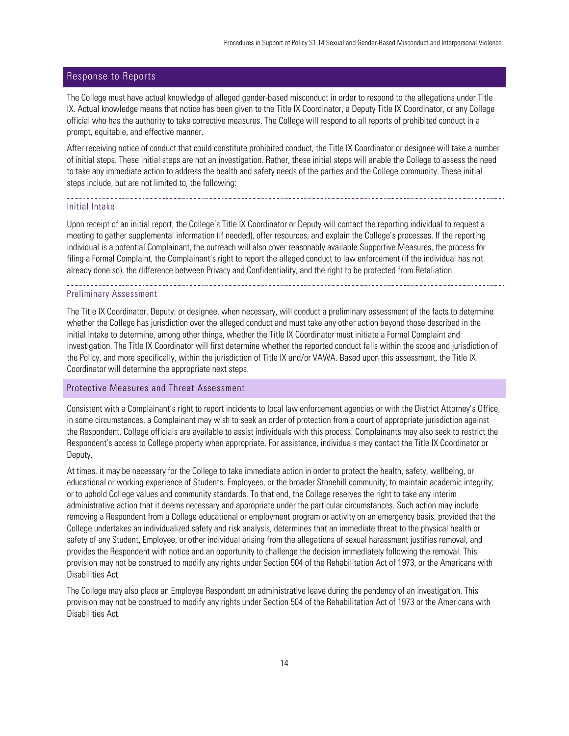# <span id="page-13-0"></span>Response to Reports

The College must have actual knowledge of alleged gender-based misconduct in order to respond to the allegations under Title IX. Actual knowledge means that notice has been given to the Title IX Coordinator, a Deputy Title IX Coordinator, or any College official who has the authority to take corrective measures. The College will respond to all reports of prohibited conduct in a prompt, equitable, and effective manner.

After receiving notice of conduct that could constitute prohibited conduct, the Title IX Coordinator or designee will take a number of initial steps. These initial steps are not an investigation. Rather, these initial steps will enable the College to assess the need to take any immediate action to address the health and safety needs of the parties and the College community. These initial steps include, but are not limited to, the following:

#### Initial Intake

Upon receipt of an initial report, the College's Title IX Coordinator or Deputy will contact the reporting individual to request a meeting to gather supplemental information (if needed), offer resources, and explain the College's processes. If the reporting individual is a potential Complainant, the outreach will also cover reasonably available Supportive Measures, the process for filing a Formal Complaint, the Complainant's right to report the alleged conduct to law enforcement (if the individual has not already done so), the difference between Privacy and Confidentiality, and the right to be protected from Retaliation.

#### Preliminary Assessment

The Title IX Coordinator, Deputy, or designee, when necessary, will conduct a preliminary assessment of the facts to determine whether the College has jurisdiction over the alleged conduct and must take any other action beyond those described in the initial intake to determine, among other things, whether the Title IX Coordinator must initiate a Formal Complaint and investigation. The Title IX Coordinator will first determine whether the reported conduct falls within the scope and jurisdiction of the Policy, and more specifically, within the jurisdiction of Title IX and/or VAWA. Based upon this assessment, the Title IX Coordinator will determine the appropriate next steps.

#### <span id="page-13-1"></span>Protective Measures and Threat Assessment

Consistent with a Complainant's right to report incidents to local law enforcement agencies or with the District Attorney's Office, in some circumstances, a Complainant may wish to seek an order of protection from a court of appropriate jurisdiction against the Respondent. College officials are available to assist individuals with this process. Complainants may also seek to restrict the Respondent's access to College property when appropriate. For assistance, individuals may contact the Title IX Coordinator or Deputy.

At times, it may be necessary for the College to take immediate action in order to protect the health, safety, wellbeing, or educational or working experience of Students, Employees, or the broader Stonehill community; to maintain academic integrity; or to uphold College values and community standards. To that end, the College reserves the right to take any interim administrative action that it deems necessary and appropriate under the particular circumstances. Such action may include removing a Respondent from a College educational or employment program or activity on an emergency basis, provided that the College undertakes an individualized safety and risk analysis, determines that an immediate threat to the physical health or safety of any Student, Employee, or other individual arising from the allegations of sexual harassment justifies removal, and provides the Respondent with notice and an opportunity to challenge the decision immediately following the removal. This provision may not be construed to modify any rights under Section 504 of the Rehabilitation Act of 1973, or the Americans with Disabilities Act.

The College may also place an Employee Respondent on administrative leave during the pendency of an investigation. This provision may not be construed to modify any rights under Section 504 of the Rehabilitation Act of 1973 or the Americans with Disabilities Act.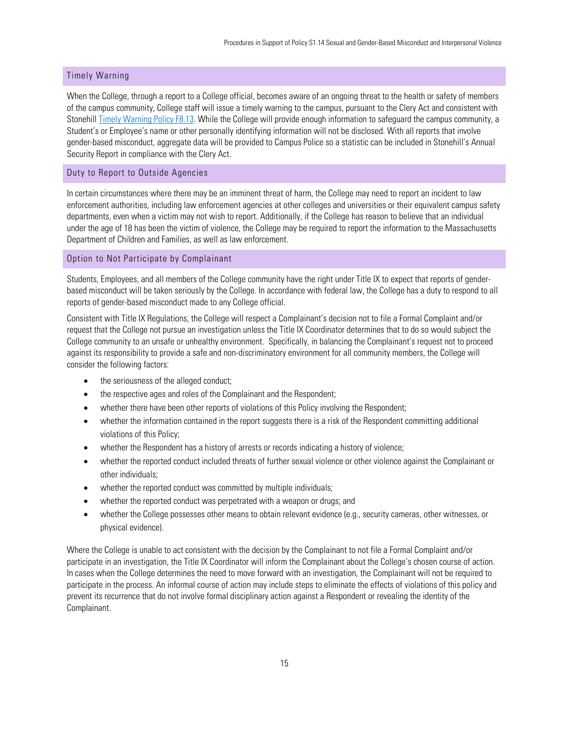## <span id="page-14-0"></span>Timely Warning

When the College, through a report to a College official, becomes aware of an ongoing threat to the health or safety of members of the campus community, College staff will issue a timely warning to the campus, pursuant to the Clery Act and consistent with Stonehil[l Timely Warning Policy F8.13.](https://stonehillpolicies.myomni.us/portal/index.php/table-of-contents-1/finance-sub/119-f8-13-timely-warning) While the College will provide enough information to safeguard the campus community, a Student's or Employee's name or other personally identifying information will not be disclosed. With all reports that involve gender-based misconduct, aggregate data will be provided to Campus Police so a statistic can be included in Stonehill's Annual Security Report in compliance with the Clery Act.

#### <span id="page-14-1"></span>Duty to Report to Outside Agencies

In certain circumstances where there may be an imminent threat of harm, the College may need to report an incident to law enforcement authorities, including law enforcement agencies at other colleges and universities or their equivalent campus safety departments, even when a victim may not wish to report. Additionally, if the College has reason to believe that an individual under the age of 18 has been the victim of violence, the College may be required to report the information to the Massachusetts Department of Children and Families, as well as law enforcement.

#### <span id="page-14-2"></span>Option to Not Participate by Complainant

Students, Employees, and all members of the College community have the right under Title IX to expect that reports of genderbased misconduct will be taken seriously by the College. In accordance with federal law, the College has a duty to respond to all reports of gender-based misconduct made to any College official.

Consistent with Title IX Regulations, the College will respect a Complainant's decision not to file a Formal Complaint and/or request that the College not pursue an investigation unless the Title IX Coordinator determines that to do so would subject the College community to an unsafe or unhealthy environment. Specifically, in balancing the Complainant's request not to proceed against its responsibility to provide a safe and non-discriminatory environment for all community members, the College will consider the following factors:

- the seriousness of the alleged conduct;
- the respective ages and roles of the Complainant and the Respondent;
- whether there have been other reports of violations of this Policy involving the Respondent;
- whether the information contained in the report suggests there is a risk of the Respondent committing additional violations of this Policy;
- whether the Respondent has a history of arrests or records indicating a history of violence;
- whether the reported conduct included threats of further sexual violence or other violence against the Complainant or other individuals;
- whether the reported conduct was committed by multiple individuals;
- whether the reported conduct was perpetrated with a weapon or drugs; and
- whether the College possesses other means to obtain relevant evidence (e.g., security cameras, other witnesses, or physical evidence).

Where the College is unable to act consistent with the decision by the Complainant to not file a Formal Complaint and/or participate in an investigation, the Title IX Coordinator will inform the Complainant about the College's chosen course of action. In cases when the College determines the need to move forward with an investigation, the Complainant will not be required to participate in the process. An informal course of action may include steps to eliminate the effects of violations of this policy and prevent its recurrence that do not involve formal disciplinary action against a Respondent or revealing the identity of the Complainant.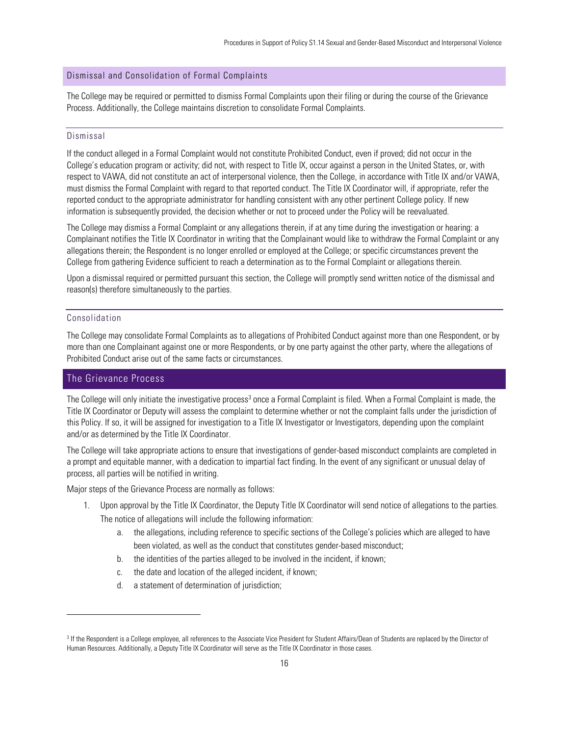## <span id="page-15-0"></span>Dismissal and Consolidation of Formal Complaints

The College may be required or permitted to dismiss Formal Complaints upon their filing or during the course of the Grievance Process. Additionally, the College maintains discretion to consolidate Formal Complaints.

## <span id="page-15-1"></span>Dismissal

If the conduct alleged in a Formal Complaint would not constitute Prohibited Conduct, even if proved; did not occur in the College's education program or activity; did not, with respect to Title IX, occur against a person in the United States, or, with respect to VAWA, did not constitute an act of interpersonal violence, then the College, in accordance with Title IX and/or VAWA, must dismiss the Formal Complaint with regard to that reported conduct. The Title IX Coordinator will, if appropriate, refer the reported conduct to the appropriate administrator for handling consistent with any other pertinent College policy. If new information is subsequently provided, the decision whether or not to proceed under the Policy will be reevaluated.

The College may dismiss a Formal Complaint or any allegations therein, if at any time during the investigation or hearing: a Complainant notifies the Title IX Coordinator in writing that the Complainant would like to withdraw the Formal Complaint or any allegations therein; the Respondent is no longer enrolled or employed at the College; or specific circumstances prevent the College from gathering Evidence sufficient to reach a determination as to the Formal Complaint or allegations therein.

Upon a dismissal required or permitted pursuant this section, the College will promptly send written notice of the dismissal and reason(s) therefore simultaneously to the parties.

## <span id="page-15-2"></span>Consolidation

The College may consolidate Formal Complaints as to allegations of Prohibited Conduct against more than one Respondent, or by more than one Complainant against one or more Respondents, or by one party against the other party, where the allegations of Prohibited Conduct arise out of the same facts or circumstances.

# <span id="page-15-3"></span>The Grievance Process

The College will only initiate the investigative process<sup>3</sup> once a Formal Complaint is filed. When a Formal Complaint is made, the Title IX Coordinator or Deputy will assess the complaint to determine whether or not the complaint falls under the jurisdiction of this Policy. If so, it will be assigned for investigation to a Title IX Investigator or Investigators, depending upon the complaint and/or as determined by the Title IX Coordinator.

The College will take appropriate actions to ensure that investigations of gender-based misconduct complaints are completed in a prompt and equitable manner, with a dedication to impartial fact finding. In the event of any significant or unusual delay of process, all parties will be notified in writing.

Major steps of the Grievance Process are normally as follows:

- 1. Upon approval by the Title IX Coordinator, the Deputy Title IX Coordinator will send notice of allegations to the parties. The notice of allegations will include the following information:
	- a. the allegations, including reference to specific sections of the College's policies which are alleged to have been violated, as well as the conduct that constitutes gender-based misconduct;
	- b. the identities of the parties alleged to be involved in the incident, if known;
	- c. the date and location of the alleged incident, if known;
	- d. a statement of determination of jurisdiction;

<sup>&</sup>lt;sup>3</sup> If the Respondent is a College employee, all references to the Associate Vice President for Student Affairs/Dean of Students are replaced by the Director of Human Resources. Additionally, a Deputy Title IX Coordinator will serve as the Title IX Coordinator in those cases.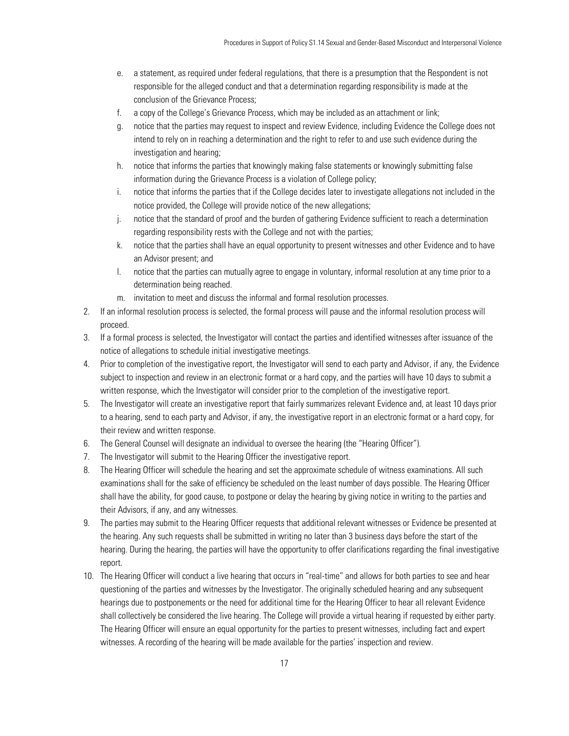- e. a statement, as required under federal regulations, that there is a presumption that the Respondent is not responsible for the alleged conduct and that a determination regarding responsibility is made at the conclusion of the Grievance Process;
- f. a copy of the College's Grievance Process, which may be included as an attachment or link;
- g. notice that the parties may request to inspect and review Evidence, including Evidence the College does not intend to rely on in reaching a determination and the right to refer to and use such evidence during the investigation and hearing;
- h. notice that informs the parties that knowingly making false statements or knowingly submitting false information during the Grievance Process is a violation of College policy;
- i. notice that informs the parties that if the College decides later to investigate allegations not included in the notice provided, the College will provide notice of the new allegations;
- j. notice that the standard of proof and the burden of gathering Evidence sufficient to reach a determination regarding responsibility rests with the College and not with the parties;
- k. notice that the parties shall have an equal opportunity to present witnesses and other Evidence and to have an Advisor present; and
- l. notice that the parties can mutually agree to engage in voluntary, informal resolution at any time prior to a determination being reached.
- m. invitation to meet and discuss the informal and formal resolution processes.
- 2. If an informal resolution process is selected, the formal process will pause and the informal resolution process will proceed.
- 3. If a formal process is selected, the Investigator will contact the parties and identified witnesses after issuance of the notice of allegations to schedule initial investigative meetings.
- 4. Prior to completion of the investigative report, the Investigator will send to each party and Advisor, if any, the Evidence subject to inspection and review in an electronic format or a hard copy, and the parties will have 10 days to submit a written response, which the Investigator will consider prior to the completion of the investigative report.
- 5. The Investigator will create an investigative report that fairly summarizes relevant Evidence and, at least 10 days prior to a hearing, send to each party and Advisor, if any, the investigative report in an electronic format or a hard copy, for their review and written response.
- 6. The General Counsel will designate an individual to oversee the hearing (the "Hearing Officer").
- 7. The Investigator will submit to the Hearing Officer the investigative report.
- 8. The Hearing Officer will schedule the hearing and set the approximate schedule of witness examinations. All such examinations shall for the sake of efficiency be scheduled on the least number of days possible. The Hearing Officer shall have the ability, for good cause, to postpone or delay the hearing by giving notice in writing to the parties and their Advisors, if any, and any witnesses.
- 9. The parties may submit to the Hearing Officer requests that additional relevant witnesses or Evidence be presented at the hearing. Any such requests shall be submitted in writing no later than 3 business days before the start of the hearing. During the hearing, the parties will have the opportunity to offer clarifications regarding the final investigative report.
- 10. The Hearing Officer will conduct a live hearing that occurs in "real-time" and allows for both parties to see and hear questioning of the parties and witnesses by the Investigator. The originally scheduled hearing and any subsequent hearings due to postponements or the need for additional time for the Hearing Officer to hear all relevant Evidence shall collectively be considered the live hearing. The College will provide a virtual hearing if requested by either party. The Hearing Officer will ensure an equal opportunity for the parties to present witnesses, including fact and expert witnesses. A recording of the hearing will be made available for the parties' inspection and review.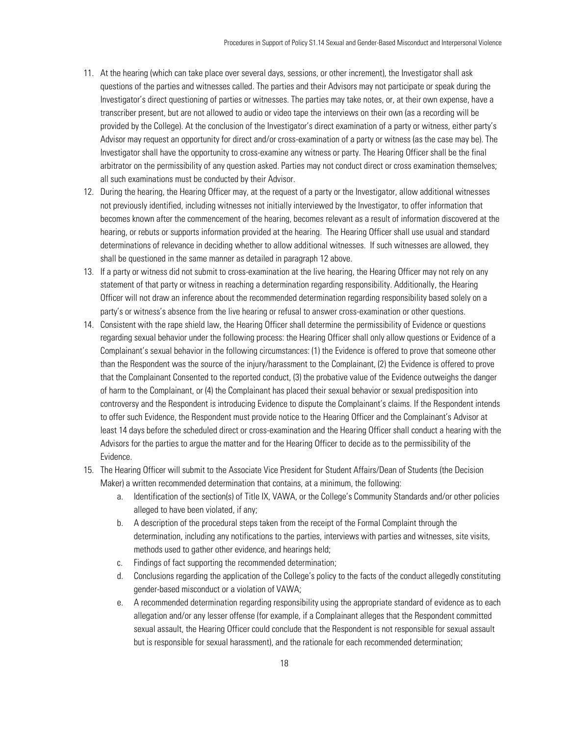- 11. At the hearing (which can take place over several days, sessions, or other increment), the Investigator shall ask questions of the parties and witnesses called. The parties and their Advisors may not participate or speak during the Investigator's direct questioning of parties or witnesses. The parties may take notes, or, at their own expense, have a transcriber present, but are not allowed to audio or video tape the interviews on their own (as a recording will be provided by the College). At the conclusion of the Investigator's direct examination of a party or witness, either party's Advisor may request an opportunity for direct and/or cross-examination of a party or witness (as the case may be). The Investigator shall have the opportunity to cross-examine any witness or party. The Hearing Officer shall be the final arbitrator on the permissibility of any question asked. Parties may not conduct direct or cross examination themselves; all such examinations must be conducted by their Advisor.
- 12. During the hearing, the Hearing Officer may, at the request of a party or the Investigator, allow additional witnesses not previously identified, including witnesses not initially interviewed by the Investigator, to offer information that becomes known after the commencement of the hearing, becomes relevant as a result of information discovered at the hearing, or rebuts or supports information provided at the hearing. The Hearing Officer shall use usual and standard determinations of relevance in deciding whether to allow additional witnesses. If such witnesses are allowed, they shall be questioned in the same manner as detailed in paragraph 12 above.
- 13. If a party or witness did not submit to cross-examination at the live hearing, the Hearing Officer may not rely on any statement of that party or witness in reaching a determination regarding responsibility. Additionally, the Hearing Officer will not draw an inference about the recommended determination regarding responsibility based solely on a party's or witness's absence from the live hearing or refusal to answer cross-examination or other questions.
- 14. Consistent with the rape shield law, the Hearing Officer shall determine the permissibility of Evidence or questions regarding sexual behavior under the following process: the Hearing Officer shall only allow questions or Evidence of a Complainant's sexual behavior in the following circumstances: (1) the Evidence is offered to prove that someone other than the Respondent was the source of the injury/harassment to the Complainant, (2) the Evidence is offered to prove that the Complainant Consented to the reported conduct, (3) the probative value of the Evidence outweighs the danger of harm to the Complainant, or (4) the Complainant has placed their sexual behavior or sexual predisposition into controversy and the Respondent is introducing Evidence to dispute the Complainant's claims. If the Respondent intends to offer such Evidence, the Respondent must provide notice to the Hearing Officer and the Complainant's Advisor at least 14 days before the scheduled direct or cross-examination and the Hearing Officer shall conduct a hearing with the Advisors for the parties to argue the matter and for the Hearing Officer to decide as to the permissibility of the Evidence.
- 15. The Hearing Officer will submit to the Associate Vice President for Student Affairs/Dean of Students (the Decision Maker) a written recommended determination that contains, at a minimum, the following:
	- a. Identification of the section(s) of Title IX, VAWA, or the College's Community Standards and/or other policies alleged to have been violated, if any;
	- b. A description of the procedural steps taken from the receipt of the Formal Complaint through the determination, including any notifications to the parties, interviews with parties and witnesses, site visits, methods used to gather other evidence, and hearings held;
	- c. Findings of fact supporting the recommended determination;
	- d. Conclusions regarding the application of the College's policy to the facts of the conduct allegedly constituting gender-based misconduct or a violation of VAWA;
	- e. A recommended determination regarding responsibility using the appropriate standard of evidence as to each allegation and/or any lesser offense (for example, if a Complainant alleges that the Respondent committed sexual assault, the Hearing Officer could conclude that the Respondent is not responsible for sexual assault but is responsible for sexual harassment), and the rationale for each recommended determination;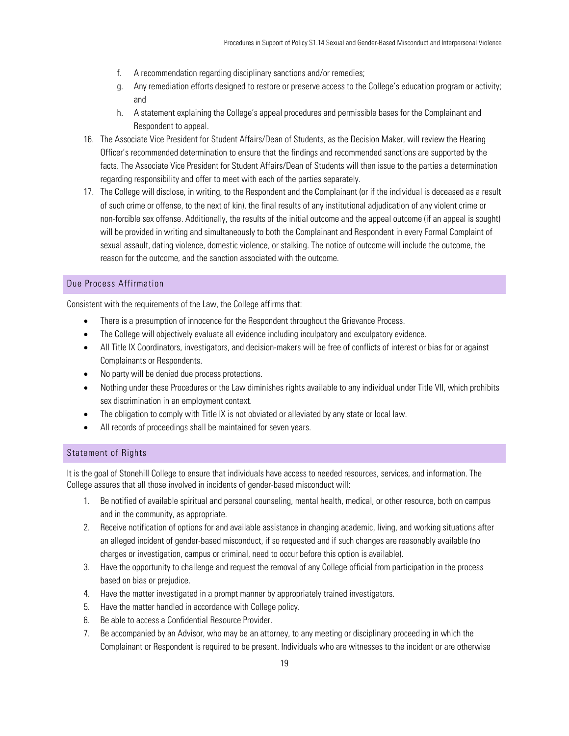- f. A recommendation regarding disciplinary sanctions and/or remedies;
- g. Any remediation efforts designed to restore or preserve access to the College's education program or activity; and
- h. A statement explaining the College's appeal procedures and permissible bases for the Complainant and Respondent to appeal.
- 16. The Associate Vice President for Student Affairs/Dean of Students, as the Decision Maker, will review the Hearing Officer's recommended determination to ensure that the findings and recommended sanctions are supported by the facts. The Associate Vice President for Student Affairs/Dean of Students will then issue to the parties a determination regarding responsibility and offer to meet with each of the parties separately.
- 17. The College will disclose, in writing, to the Respondent and the Complainant (or if the individual is deceased as a result of such crime or offense, to the next of kin), the final results of any institutional adjudication of any violent crime or non-forcible sex offense. Additionally, the results of the initial outcome and the appeal outcome (if an appeal is sought) will be provided in writing and simultaneously to both the Complainant and Respondent in every Formal Complaint of sexual assault, dating violence, domestic violence, or stalking. The notice of outcome will include the outcome, the reason for the outcome, and the sanction associated with the outcome.

## <span id="page-18-0"></span>Due Process Affirmation

Consistent with the requirements of the Law, the College affirms that:

- There is a presumption of innocence for the Respondent throughout the Grievance Process.
- The College will objectively evaluate all evidence including inculpatory and exculpatory evidence.
- All Title IX Coordinators, investigators, and decision-makers will be free of conflicts of interest or bias for or against Complainants or Respondents.
- No party will be denied due process protections.
- Nothing under these Procedures or the Law diminishes rights available to any individual under Title VII, which prohibits sex discrimination in an employment context.
- The obligation to comply with Title IX is not obviated or alleviated by any state or local law.
- All records of proceedings shall be maintained for seven years.

## <span id="page-18-1"></span>Statement of Rights

It is the goal of Stonehill College to ensure that individuals have access to needed resources, services, and information. The College assures that all those involved in incidents of gender-based misconduct will:

- 1. Be notified of available spiritual and personal counseling, mental health, medical, or other resource, both on campus and in the community, as appropriate.
- 2. Receive notification of options for and available assistance in changing academic, living, and working situations after an alleged incident of gender-based misconduct, if so requested and if such changes are reasonably available (no charges or investigation, campus or criminal, need to occur before this option is available).
- 3. Have the opportunity to challenge and request the removal of any College official from participation in the process based on bias or prejudice.
- 4. Have the matter investigated in a prompt manner by appropriately trained investigators.
- 5. Have the matter handled in accordance with College policy.
- 6. Be able to access a Confidential Resource Provider.
- 7. Be accompanied by an Advisor, who may be an attorney, to any meeting or disciplinary proceeding in which the Complainant or Respondent is required to be present. Individuals who are witnesses to the incident or are otherwise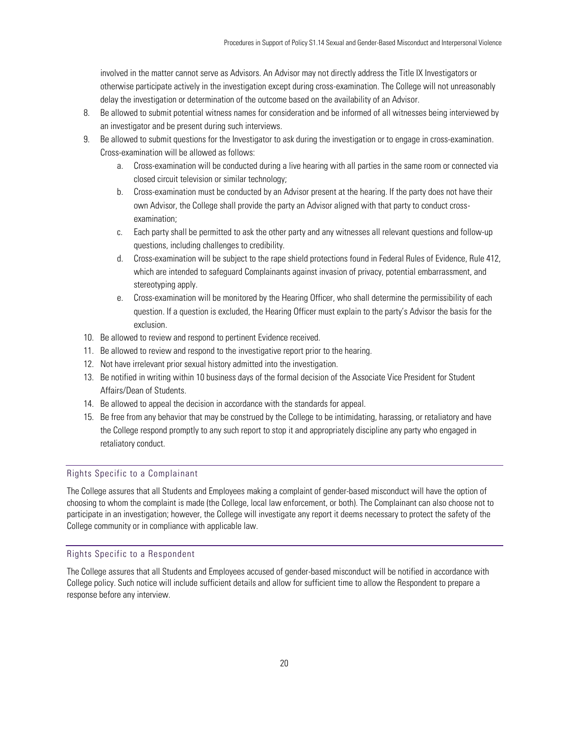involved in the matter cannot serve as Advisors. An Advisor may not directly address the Title IX Investigators or otherwise participate actively in the investigation except during cross-examination. The College will not unreasonably delay the investigation or determination of the outcome based on the availability of an Advisor.

- 8. Be allowed to submit potential witness names for consideration and be informed of all witnesses being interviewed by an investigator and be present during such interviews.
- 9. Be allowed to submit questions for the Investigator to ask during the investigation or to engage in cross-examination. Cross-examination will be allowed as follows:
	- a. Cross-examination will be conducted during a live hearing with all parties in the same room or connected via closed circuit television or similar technology;
	- b. Cross-examination must be conducted by an Advisor present at the hearing. If the party does not have their own Advisor, the College shall provide the party an Advisor aligned with that party to conduct crossexamination;
	- c. Each party shall be permitted to ask the other party and any witnesses all relevant questions and follow-up questions, including challenges to credibility.
	- d. Cross-examination will be subject to the rape shield protections found in Federal Rules of Evidence, Rule 412, which are intended to safeguard Complainants against invasion of privacy, potential embarrassment, and stereotyping apply.
	- e. Cross-examination will be monitored by the Hearing Officer, who shall determine the permissibility of each question. If a question is excluded, the Hearing Officer must explain to the party's Advisor the basis for the exclusion.
- 10. Be allowed to review and respond to pertinent Evidence received.
- 11. Be allowed to review and respond to the investigative report prior to the hearing.
- 12. Not have irrelevant prior sexual history admitted into the investigation.
- 13. Be notified in writing within 10 business days of the formal decision of the Associate Vice President for Student Affairs/Dean of Students.
- 14. Be allowed to appeal the decision in accordance with the standards for appeal.
- 15. Be free from any behavior that may be construed by the College to be intimidating, harassing, or retaliatory and have the College respond promptly to any such report to stop it and appropriately discipline any party who engaged in retaliatory conduct.

## <span id="page-19-0"></span>Rights Specific to a Complainant

The College assures that all Students and Employees making a complaint of gender-based misconduct will have the option of choosing to whom the complaint is made (the College, local law enforcement, or both). The Complainant can also choose not to participate in an investigation; however, the College will investigate any report it deems necessary to protect the safety of the College community or in compliance with applicable law.

## <span id="page-19-1"></span>Rights Specific to a Respondent

The College assures that all Students and Employees accused of gender-based misconduct will be notified in accordance with College policy. Such notice will include sufficient details and allow for sufficient time to allow the Respondent to prepare a response before any interview.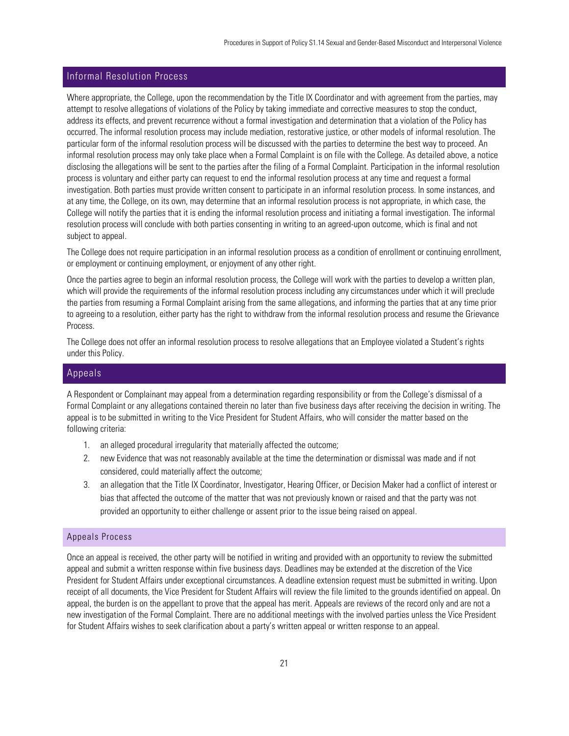# <span id="page-20-0"></span>Informal Resolution Process

Where appropriate, the College, upon the recommendation by the Title IX Coordinator and with agreement from the parties, may attempt to resolve allegations of violations of the Policy by taking immediate and corrective measures to stop the conduct, address its effects, and prevent recurrence without a formal investigation and determination that a violation of the Policy has occurred. The informal resolution process may include mediation, restorative justice, or other models of informal resolution. The particular form of the informal resolution process will be discussed with the parties to determine the best way to proceed. An informal resolution process may only take place when a Formal Complaint is on file with the College. As detailed above, a notice disclosing the allegations will be sent to the parties after the filing of a Formal Complaint. Participation in the informal resolution process is voluntary and either party can request to end the informal resolution process at any time and request a formal investigation. Both parties must provide written consent to participate in an informal resolution process. In some instances, and at any time, the College, on its own, may determine that an informal resolution process is not appropriate, in which case, the College will notify the parties that it is ending the informal resolution process and initiating a formal investigation. The informal resolution process will conclude with both parties consenting in writing to an agreed-upon outcome, which is final and not subject to appeal.

The College does not require participation in an informal resolution process as a condition of enrollment or continuing enrollment, or employment or continuing employment, or enjoyment of any other right.

Once the parties agree to begin an informal resolution process, the College will work with the parties to develop a written plan, which will provide the requirements of the informal resolution process including any circumstances under which it will preclude the parties from resuming a Formal Complaint arising from the same allegations, and informing the parties that at any time prior to agreeing to a resolution, either party has the right to withdraw from the informal resolution process and resume the Grievance Process.

The College does not offer an informal resolution process to resolve allegations that an Employee violated a Student's rights under this Policy.

## <span id="page-20-1"></span>Appeals

A Respondent or Complainant may appeal from a determination regarding responsibility or from the College's dismissal of a Formal Complaint or any allegations contained therein no later than five business days after receiving the decision in writing. The appeal is to be submitted in writing to the Vice President for Student Affairs, who will consider the matter based on the following criteria:

- 1. an alleged procedural irregularity that materially affected the outcome;
- 2. new Evidence that was not reasonably available at the time the determination or dismissal was made and if not considered, could materially affect the outcome;
- 3. an allegation that the Title IX Coordinator, Investigator, Hearing Officer, or Decision Maker had a conflict of interest or bias that affected the outcome of the matter that was not previously known or raised and that the party was not provided an opportunity to either challenge or assent prior to the issue being raised on appeal.

## <span id="page-20-2"></span>Appeals Process

Once an appeal is received, the other party will be notified in writing and provided with an opportunity to review the submitted appeal and submit a written response within five business days. Deadlines may be extended at the discretion of the Vice President for Student Affairs under exceptional circumstances. A deadline extension request must be submitted in writing. Upon receipt of all documents, the Vice President for Student Affairs will review the file limited to the grounds identified on appeal. On appeal, the burden is on the appellant to prove that the appeal has merit. Appeals are reviews of the record only and are not a new investigation of the Formal Complaint. There are no additional meetings with the involved parties unless the Vice President for Student Affairs wishes to seek clarification about a party's written appeal or written response to an appeal.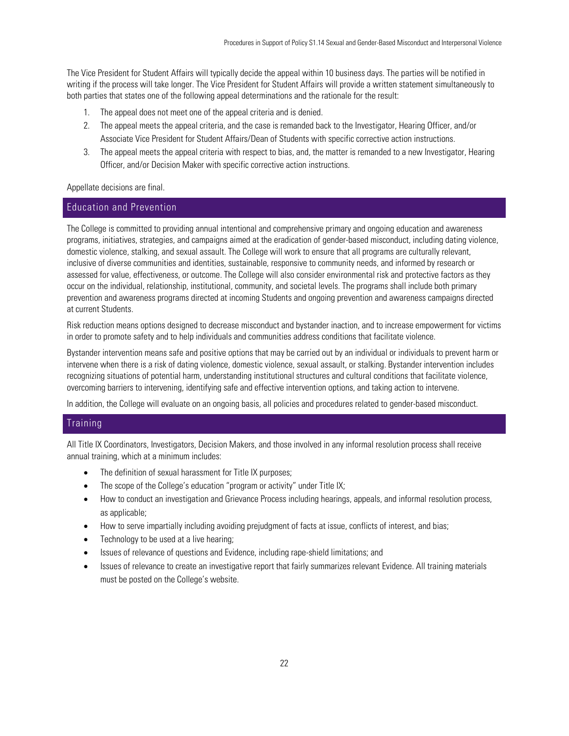The Vice President for Student Affairs will typically decide the appeal within 10 business days. The parties will be notified in writing if the process will take longer. The Vice President for Student Affairs will provide a written statement simultaneously to both parties that states one of the following appeal determinations and the rationale for the result:

- 1. The appeal does not meet one of the appeal criteria and is denied.
- 2. The appeal meets the appeal criteria, and the case is remanded back to the Investigator, Hearing Officer, and/or Associate Vice President for Student Affairs/Dean of Students with specific corrective action instructions.
- 3. The appeal meets the appeal criteria with respect to bias, and, the matter is remanded to a new Investigator, Hearing Officer, and/or Decision Maker with specific corrective action instructions.

## Appellate decisions are final.

## <span id="page-21-0"></span>Education and Prevention

The College is committed to providing annual intentional and comprehensive primary and ongoing education and awareness programs, initiatives, strategies, and campaigns aimed at the eradication of gender-based misconduct, including dating violence, domestic violence, stalking, and sexual assault. The College will work to ensure that all programs are culturally relevant, inclusive of diverse communities and identities, sustainable, responsive to community needs, and informed by research or assessed for value, effectiveness, or outcome. The College will also consider environmental risk and protective factors as they occur on the individual, relationship, institutional, community, and societal levels. The programs shall include both primary prevention and awareness programs directed at incoming Students and ongoing prevention and awareness campaigns directed at current Students.

Risk reduction means options designed to decrease misconduct and bystander inaction, and to increase empowerment for victims in order to promote safety and to help individuals and communities address conditions that facilitate violence.

Bystander intervention means safe and positive options that may be carried out by an individual or individuals to prevent harm or intervene when there is a risk of dating violence, domestic violence, sexual assault, or stalking. Bystander intervention includes recognizing situations of potential harm, understanding institutional structures and cultural conditions that facilitate violence, overcoming barriers to intervening, identifying safe and effective intervention options, and taking action to intervene.

In addition, the College will evaluate on an ongoing basis, all policies and procedures related to gender-based misconduct.

## <span id="page-21-1"></span>**Training**

All Title IX Coordinators, Investigators, Decision Makers, and those involved in any informal resolution process shall receive annual training, which at a minimum includes:

- The definition of sexual harassment for Title IX purposes;
- The scope of the College's education "program or activity" under Title IX;
- How to conduct an investigation and Grievance Process including hearings, appeals, and informal resolution process, as applicable;
- How to serve impartially including avoiding prejudgment of facts at issue, conflicts of interest, and bias;
- Technology to be used at a live hearing;
- Issues of relevance of questions and Evidence, including rape-shield limitations; and
- Issues of relevance to create an investigative report that fairly summarizes relevant Evidence. All training materials must be posted on the College's website.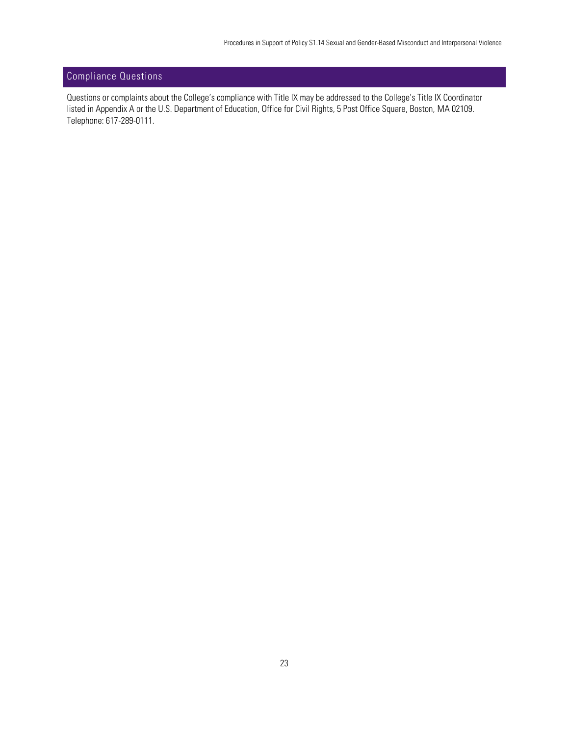# <span id="page-22-0"></span>Compliance Questions

Questions or complaints about the College's compliance with Title IX may be addressed to the College's Title IX Coordinator listed in Appendix A or the U.S. Department of Education, Office for Civil Rights, 5 Post Office Square, Boston, MA 02109. Telephone: 617-289-0111.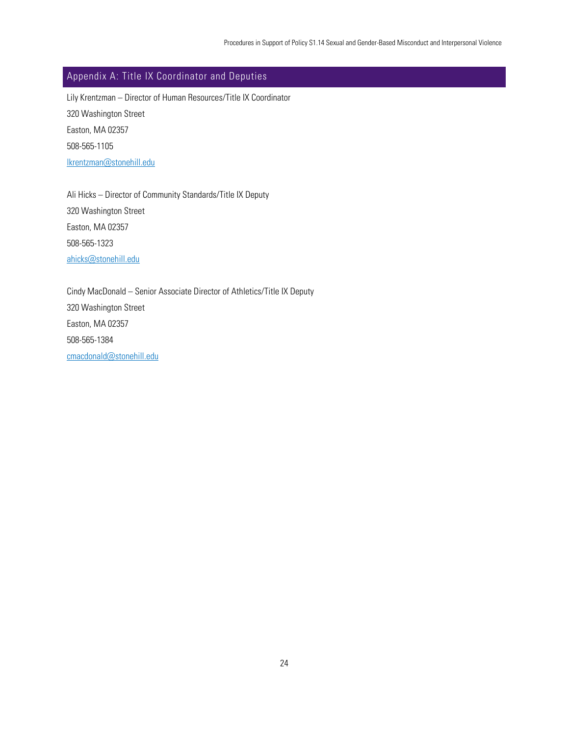# <span id="page-23-0"></span>Appendix A: Title IX Coordinator and Deputies

Lily Krentzman – Director of Human Resources/Title IX Coordinator 320 Washington Street Easton, MA 02357 508-565-1105 [lkrentzman@stonehill.edu](mailto:lkrentzman@stonehill.edu)

Ali Hicks – Director of Community Standards/Title IX Deputy 320 Washington Street Easton, MA 02357 508-565-1323 [ahicks@stonehill.edu](mailto:ahicks@stonehill.edu)

Cindy MacDonald – Senior Associate Director of Athletics/Title IX Deputy 320 Washington Street Easton, MA 02357 508-565-1384 [cmacdonald@stonehill.edu](mailto:cmacdonald@stonehill.edu)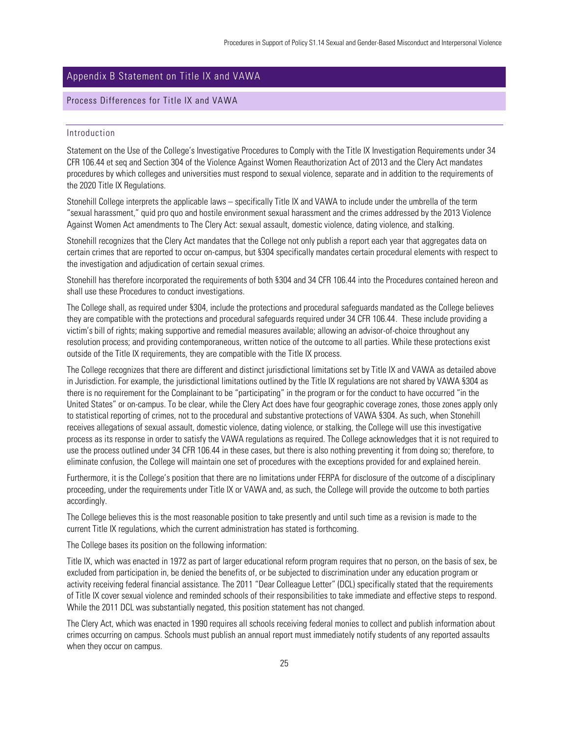# <span id="page-24-0"></span>Appendix B Statement on Title IX and VAWA

## <span id="page-24-2"></span><span id="page-24-1"></span>Process Differences for Title IX and VAWA

#### Introduction

Statement on the Use of the College's Investigative Procedures to Comply with the Title IX Investigation Requirements under 34 CFR 106.44 et seq and Section 304 of the Violence Against Women Reauthorization Act of 2013 and the Clery Act mandates procedures by which colleges and universities must respond to sexual violence, separate and in addition to the requirements of the 2020 Title IX Regulations.

Stonehill College interprets the applicable laws – specifically Title IX and VAWA to include under the umbrella of the term "sexual harassment," quid pro quo and hostile environment sexual harassment and the crimes addressed by the 2013 Violence Against Women Act amendments to The Clery Act: sexual assault, domestic violence, dating violence, and stalking.

Stonehill recognizes that the Clery Act mandates that the College not only publish a report each year that aggregates data on certain crimes that are reported to occur on-campus, but §304 specifically mandates certain procedural elements with respect to the investigation and adjudication of certain sexual crimes.

Stonehill has therefore incorporated the requirements of both §304 and 34 CFR 106.44 into the Procedures contained hereon and shall use these Procedures to conduct investigations.

The College shall, as required under §304, include the protections and procedural safeguards mandated as the College believes they are compatible with the protections and procedural safeguards required under 34 CFR 106.44. These include providing a victim's bill of rights; making supportive and remedial measures available; allowing an advisor-of-choice throughout any resolution process; and providing contemporaneous, written notice of the outcome to all parties. While these protections exist outside of the Title IX requirements, they are compatible with the Title IX process.

The College recognizes that there are different and distinct jurisdictional limitations set by Title IX and VAWA as detailed above in Jurisdiction. For example, the jurisdictional limitations outlined by the Title IX regulations are not shared by VAWA §304 as there is no requirement for the Complainant to be "participating" in the program or for the conduct to have occurred "in the United States" or on-campus. To be clear, while the Clery Act does have four geographic coverage zones, those zones apply only to statistical reporting of crimes, not to the procedural and substantive protections of VAWA §304. As such, when Stonehill receives allegations of sexual assault, domestic violence, dating violence, or stalking, the College will use this investigative process as its response in order to satisfy the VAWA regulations as required. The College acknowledges that it is not required to use the process outlined under 34 CFR 106.44 in these cases, but there is also nothing preventing it from doing so; therefore, to eliminate confusion, the College will maintain one set of procedures with the exceptions provided for and explained herein.

Furthermore, it is the College's position that there are no limitations under FERPA for disclosure of the outcome of a disciplinary proceeding, under the requirements under Title IX or VAWA and, as such, the College will provide the outcome to both parties accordingly.

The College believes this is the most reasonable position to take presently and until such time as a revision is made to the current Title IX regulations, which the current administration has stated is forthcoming.

The College bases its position on the following information:

Title IX, which was enacted in 1972 as part of larger educational reform program requires that no person, on the basis of sex, be excluded from participation in, be denied the benefits of, or be subjected to discrimination under any education program or activity receiving federal financial assistance. The 2011 "Dear Colleague Letter" (DCL) specifically stated that the requirements of Title IX cover sexual violence and reminded schools of their responsibilities to take immediate and effective steps to respond. While the 2011 DCL was substantially negated, this position statement has not changed.

The Clery Act, which was enacted in 1990 requires all schools receiving federal monies to collect and publish information about crimes occurring on campus. Schools must publish an annual report must immediately notify students of any reported assaults when they occur on campus.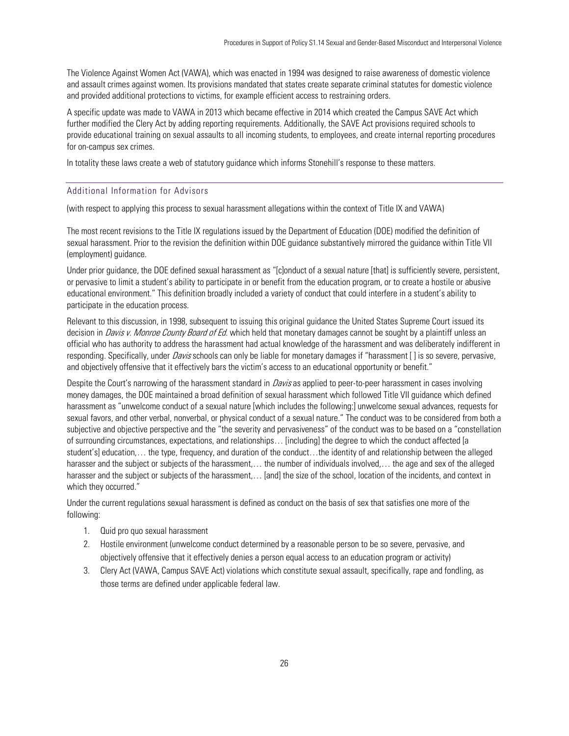The Violence Against Women Act (VAWA), which was enacted in 1994 was designed to raise awareness of domestic violence and assault crimes against women. Its provisions mandated that states create separate criminal statutes for domestic violence and provided additional protections to victims, for example efficient access to restraining orders.

A specific update was made to VAWA in 2013 which became effective in 2014 which created the Campus SAVE Act which further modified the Clery Act by adding reporting requirements. Additionally, the SAVE Act provisions required schools to provide educational training on sexual assaults to all incoming students, to employees, and create internal reporting procedures for on-campus sex crimes.

<span id="page-25-0"></span>In totality these laws create a web of statutory guidance which informs Stonehill's response to these matters.

## Additional Information for Advisors

(with respect to applying this process to sexual harassment allegations within the context of Title IX and VAWA)

The most recent revisions to the Title IX regulations issued by the Department of Education (DOE) modified the definition of sexual harassment. Prior to the revision the definition within DOE guidance substantively mirrored the guidance within Title VII (employment) guidance.

Under prior guidance, the DOE defined sexual harassment as "[c]onduct of a sexual nature [that] is sufficiently severe, persistent, or pervasive to limit a student's ability to participate in or benefit from the education program, or to create a hostile or abusive educational environment." This definition broadly included a variety of conduct that could interfere in a student's ability to participate in the education process.

Relevant to this discussion, in 1998, subsequent to issuing this original guidance the United States Supreme Court issued its decision in *Davis v. Monroe County Board of Ed.* which held that monetary damages cannot be sought by a plaintiff unless an official who has authority to address the harassment had actual knowledge of the harassment and was deliberately indifferent in responding. Specifically, under *Davis* schools can only be liable for monetary damages if "harassment [ ] is so severe, pervasive, and objectively offensive that it effectively bars the victim's access to an educational opportunity or benefit."

Despite the Court's narrowing of the harassment standard in *Davis* as applied to peer-to-peer harassment in cases involving money damages, the DOE maintained a broad definition of sexual harassment which followed Title VII guidance which defined harassment as "unwelcome conduct of a sexual nature [which includes the following:] unwelcome sexual advances, requests for sexual favors, and other verbal, nonverbal, or physical conduct of a sexual nature." The conduct was to be considered from both a subjective and objective perspective and the "the severity and pervasiveness" of the conduct was to be based on a "constellation of surrounding circumstances, expectations, and relationships… [including] the degree to which the conduct affected [a student's] education,… the type, frequency, and duration of the conduct…the identity of and relationship between the alleged harasser and the subject or subjects of the harassment,… the number of individuals involved,… the age and sex of the alleged harasser and the subject or subjects of the harassment,... [and] the size of the school, location of the incidents, and context in which they occurred."

Under the current regulations sexual harassment is defined as conduct on the basis of sex that satisfies one more of the following:

- 1. Quid pro quo sexual harassment
- 2. Hostile environment (unwelcome conduct determined by a reasonable person to be so severe, pervasive, and objectively offensive that it effectively denies a person equal access to an education program or activity)
- 3. Clery Act (VAWA, Campus SAVE Act) violations which constitute sexual assault, specifically, rape and fondling, as those terms are defined under applicable federal law.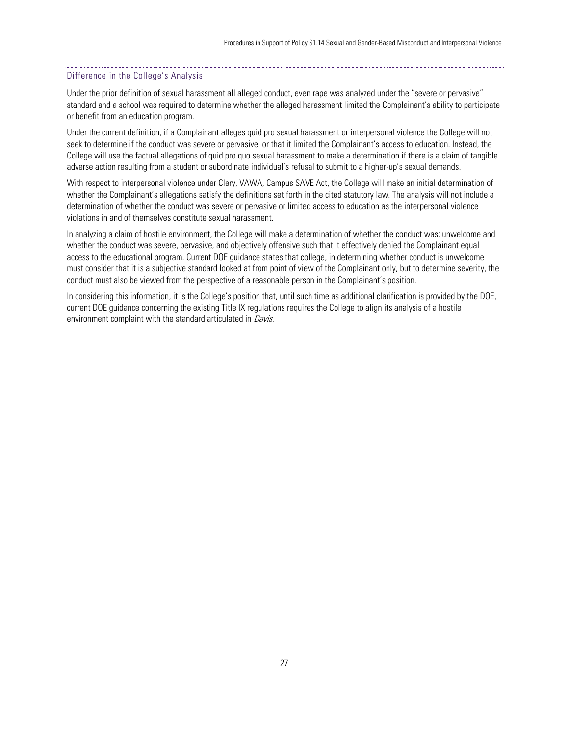#### Difference in the College's Analysis

Under the prior definition of sexual harassment all alleged conduct, even rape was analyzed under the "severe or pervasive" standard and a school was required to determine whether the alleged harassment limited the Complainant's ability to participate or benefit from an education program.

Under the current definition, if a Complainant alleges quid pro sexual harassment or interpersonal violence the College will not seek to determine if the conduct was severe or pervasive, or that it limited the Complainant's access to education. Instead, the College will use the factual allegations of quid pro quo sexual harassment to make a determination if there is a claim of tangible adverse action resulting from a student or subordinate individual's refusal to submit to a higher-up's sexual demands.

With respect to interpersonal violence under Clery, VAWA, Campus SAVE Act, the College will make an initial determination of whether the Complainant's allegations satisfy the definitions set forth in the cited statutory law. The analysis will not include a determination of whether the conduct was severe or pervasive or limited access to education as the interpersonal violence violations in and of themselves constitute sexual harassment.

In analyzing a claim of hostile environment, the College will make a determination of whether the conduct was: unwelcome and whether the conduct was severe, pervasive, and objectively offensive such that it effectively denied the Complainant equal access to the educational program. Current DOE guidance states that college, in determining whether conduct is unwelcome must consider that it is a subjective standard looked at from point of view of the Complainant only, but to determine severity, the conduct must also be viewed from the perspective of a reasonable person in the Complainant's position.

In considering this information, it is the College's position that, until such time as additional clarification is provided by the DOE, current DOE guidance concerning the existing Title IX regulations requires the College to align its analysis of a hostile environment complaint with the standard articulated in *Davis*.